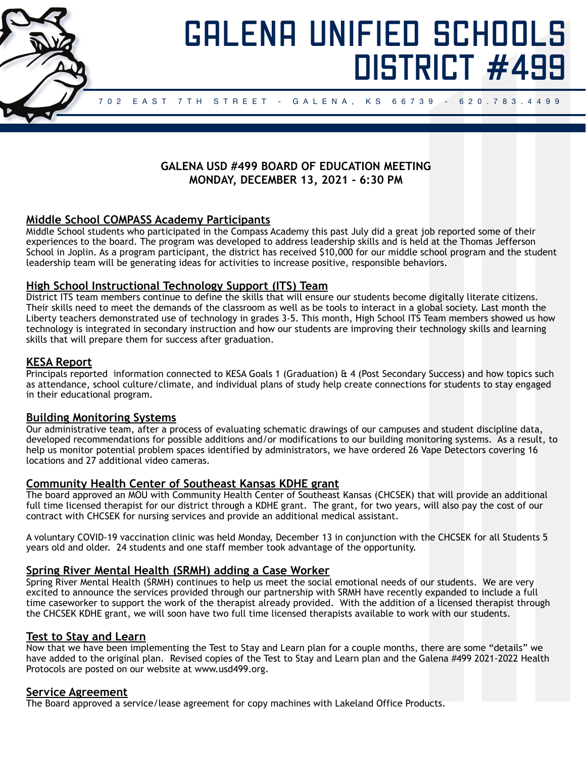

# GALENA UNIFIED SCHOOLS DISTRICT #499

# **GALENA USD #499 BOARD OF EDUCATION MEETING MONDAY, DECEMBER 13, 2021 - 6:30 PM**

# **Middle School COMPASS Academy Participants**

Middle School students who participated in the Compass Academy this past July did a great job reported some of their experiences to the board. The program was developed to address leadership skills and is held at the Thomas Jefferson School in Joplin. As a program participant, the district has received \$10,000 for our middle school program and the student leadership team will be generating ideas for activities to increase positive, responsible behaviors.

## **High School Instructional Technology Support (ITS) Team**

District ITS team members continue to define the skills that will ensure our students become digitally literate citizens. Their skills need to meet the demands of the classroom as well as be tools to interact in a global society. Last month the Liberty teachers demonstrated use of technology in grades 3-5. This month, High School ITS Team members showed us how technology is integrated in secondary instruction and how our students are improving their technology skills and learning skills that will prepare them for success after graduation.

## **KESA Report**

Principals reported information connected to KESA Goals 1 (Graduation) & 4 (Post Secondary Success) and how topics such as attendance, school culture/climate, and individual plans of study help create connections for students to stay engaged in their educational program.

## **Building Monitoring Systems**

Our administrative team, after a process of evaluating schematic drawings of our campuses and student discipline data, developed recommendations for possible additions and/or modifications to our building monitoring systems. As a result, to help us monitor potential problem spaces identified by administrators, we have ordered 26 Vape Detectors covering 16 locations and 27 additional video cameras.

# **Community Health Center of Southeast Kansas KDHE grant**

The board approved an MOU with Community Health Center of Southeast Kansas (CHCSEK) that will provide an additional full time licensed therapist for our district through a KDHE grant. The grant, for two years, will also pay the cost of our contract with CHCSEK for nursing services and provide an additional medical assistant.

A voluntary COVID-19 vaccination clinic was held Monday, December 13 in conjunction with the CHCSEK for all Students 5 years old and older. 24 students and one staff member took advantage of the opportunity.

# **Spring River Mental Health (SRMH) adding a Case Worker**

Spring River Mental Health (SRMH) continues to help us meet the social emotional needs of our students. We are very excited to announce the services provided through our partnership with SRMH have recently expanded to include a full time caseworker to support the work of the therapist already provided. With the addition of a licensed therapist through the CHCSEK KDHE grant, we will soon have two full time licensed therapists available to work with our students.

## **Test to Stay and Learn**

Now that we have been implementing the Test to Stay and Learn plan for a couple months, there are some "details" we have added to the original plan. Revised copies of the Test to Stay and Learn plan and the Galena #499 2021-2022 Health Protocols are posted on our website at www.usd499.org.

## **Service Agreement**

The Board approved a service/lease agreement for copy machines with Lakeland Office Products.